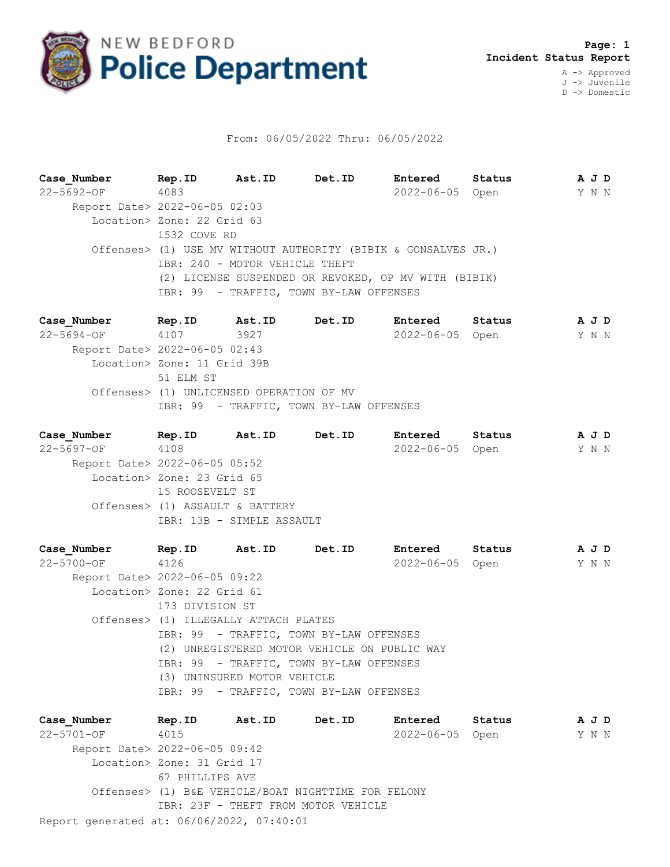

## From: 06/05/2022 Thru: 06/05/2022

**Case\_Number Rep.ID Ast.ID Det.ID Entered Status A J D** 22-5692-OF 4083 2022-06-05 Open Y N N Report Date> 2022-06-05 02:03 Location> Zone: 22 Grid 63 1532 COVE RD Offenses> (1) USE MV WITHOUT AUTHORITY (BIBIK & GONSALVES JR.) IBR: 240 - MOTOR VEHICLE THEFT (2) LICENSE SUSPENDED OR REVOKED, OP MV WITH (BIBIK) IBR: 99 - TRAFFIC, TOWN BY-LAW OFFENSES

**Case\_Number Rep.ID Ast.ID Det.ID Entered Status A J D** 22-5694-OF 4107 3927 2022-06-05 Open Y N N Report Date> 2022-06-05 02:43 Location> Zone: 11 Grid 39B 51 ELM ST Offenses> (1) UNLICENSED OPERATION OF MV IBR: 99 - TRAFFIC, TOWN BY-LAW OFFENSES

**Case\_Number Rep.ID Ast.ID Det.ID Entered Status A J D** 22-5697-OF 4108 2022-06-05 Open Y N N Report Date> 2022-06-05 05:52 Location> Zone: 23 Grid 65 15 ROOSEVELT ST Offenses> (1) ASSAULT & BATTERY IBR: 13B - SIMPLE ASSAULT

**Case\_Number Rep.ID Ast.ID Det.ID Entered Status A J D** 22-5700-OF 4126 2022-06-05 Open Y N N Report Date> 2022-06-05 09:22 Location> Zone: 22 Grid 61 173 DIVISION ST Offenses> (1) ILLEGALLY ATTACH PLATES IBR: 99 - TRAFFIC, TOWN BY-LAW OFFENSES (2) UNREGISTERED MOTOR VEHICLE ON PUBLIC WAY IBR: 99 - TRAFFIC, TOWN BY-LAW OFFENSES (3) UNINSURED MOTOR VEHICLE IBR: 99 - TRAFFIC, TOWN BY-LAW OFFENSES

Report generated at: 06/06/2022, 07:40:01 **Case\_Number Rep.ID Ast.ID Det.ID Entered Status A J D** 22-5701-OF 4015 2022-06-05 Open Y N N Report Date> 2022-06-05 09:42 Location> Zone: 31 Grid 17 67 PHILLIPS AVE Offenses> (1) B&E VEHICLE/BOAT NIGHTTIME FOR FELONY IBR: 23F - THEFT FROM MOTOR VEHICLE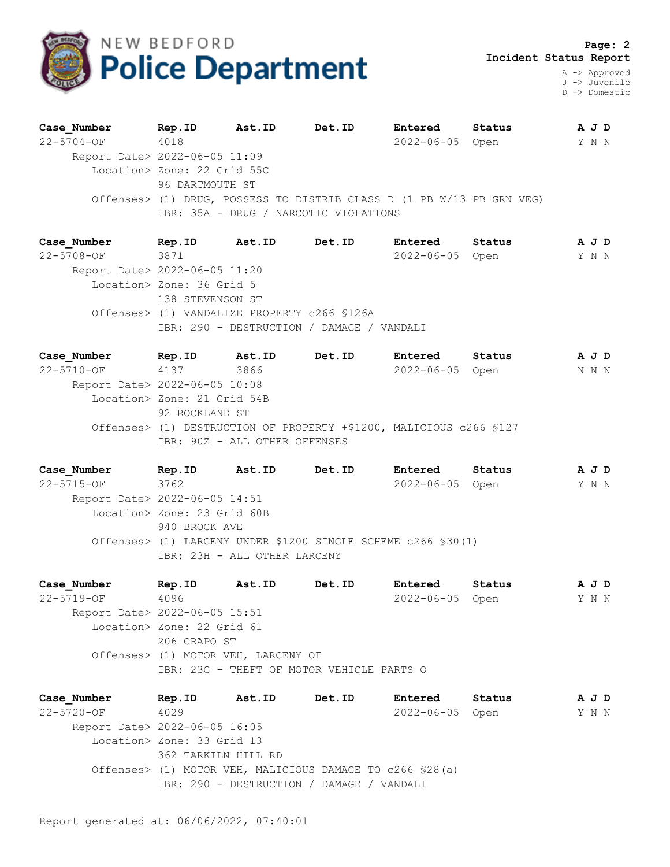

A -> Approved J -> Juvenile D -> Domestic

| Case Number                   | Rep.ID                                                                | Ast.ID | Det.ID | Entered         | Status | A J D |  |
|-------------------------------|-----------------------------------------------------------------------|--------|--------|-----------------|--------|-------|--|
| $22 - 5704 - OF$              | 4018                                                                  |        |        | 2022-06-05 Open |        | Y N N |  |
| Report Date> 2022-06-05 11:09 |                                                                       |        |        |                 |        |       |  |
|                               | Location> Zone: 22 Grid 55C                                           |        |        |                 |        |       |  |
|                               | 96 DARTMOUTH ST                                                       |        |        |                 |        |       |  |
|                               | Offenses> (1) DRUG, POSSESS TO DISTRIB CLASS D (1 PB W/13 PB GRN VEG) |        |        |                 |        |       |  |
|                               | IBR: 35A - DRUG / NARCOTIC VIOLATIONS                                 |        |        |                 |        |       |  |

| Case Number                   | Rep.ID                    | Ast.ID                                       | Det.ID                                    | Entered         | Status | A J D |  |
|-------------------------------|---------------------------|----------------------------------------------|-------------------------------------------|-----------------|--------|-------|--|
| $22 - 5708 - OF$              | 3871                      |                                              |                                           | 2022-06-05 Open |        | YNN   |  |
| Report Date> 2022-06-05 11:20 |                           |                                              |                                           |                 |        |       |  |
|                               | Location> Zone: 36 Grid 5 |                                              |                                           |                 |        |       |  |
|                               | 138 STEVENSON ST          |                                              |                                           |                 |        |       |  |
|                               |                           | Offenses> (1) VANDALIZE PROPERTY c266 \$126A |                                           |                 |        |       |  |
|                               |                           |                                              | IBR: 290 - DESTRUCTION / DAMAGE / VANDALI |                 |        |       |  |
|                               |                           |                                              |                                           |                 |        |       |  |

**Case\_Number Rep.ID Ast.ID Det.ID Entered Status A J D** 22-5710-OF 4137 3866 2022-06-05 Open N N N Report Date> 2022-06-05 10:08 Location> Zone: 21 Grid 54B 92 ROCKLAND ST Offenses> (1) DESTRUCTION OF PROPERTY +\$1200, MALICIOUS c266 §127 IBR: 90Z - ALL OTHER OFFENSES

|                | Det.ID                                                                                  | Entered                      | Status |                                                                                  |                |
|----------------|-----------------------------------------------------------------------------------------|------------------------------|--------|----------------------------------------------------------------------------------|----------------|
|                |                                                                                         |                              |        |                                                                                  |                |
|                |                                                                                         |                              |        |                                                                                  |                |
|                |                                                                                         |                              |        |                                                                                  |                |
|                |                                                                                         |                              |        |                                                                                  |                |
|                |                                                                                         |                              |        |                                                                                  |                |
|                |                                                                                         |                              |        |                                                                                  |                |
| Rep.ID<br>3762 | Ast.ID<br>Report Date> 2022-06-05 14:51<br>Location> Zone: 23 Grid 60B<br>940 BROCK AVE | IBR: 23H - ALL OTHER LARCENY |        | 2022-06-05 Open<br>Offenses> (1) LARCENY UNDER \$1200 SINGLE SCHEME c266 \$30(1) | A J D<br>Y N N |

**Case\_Number Rep.ID Ast.ID Det.ID Entered Status A J D** 22-5719-OF 4096 2022-06-05 Open Y N N Report Date> 2022-06-05 15:51 Location> Zone: 22 Grid 61 206 CRAPO ST Offenses> (1) MOTOR VEH, LARCENY OF IBR: 23G - THEFT OF MOTOR VEHICLE PARTS O

**Case\_Number Rep.ID Ast.ID Det.ID Entered Status A J D** 22-5720-OF 4029 2022-06-05 Open Y N N Report Date> 2022-06-05 16:05 Location> Zone: 33 Grid 13 362 TARKILN HILL RD Offenses> (1) MOTOR VEH, MALICIOUS DAMAGE TO c266 §28(a) IBR: 290 - DESTRUCTION / DAMAGE / VANDALI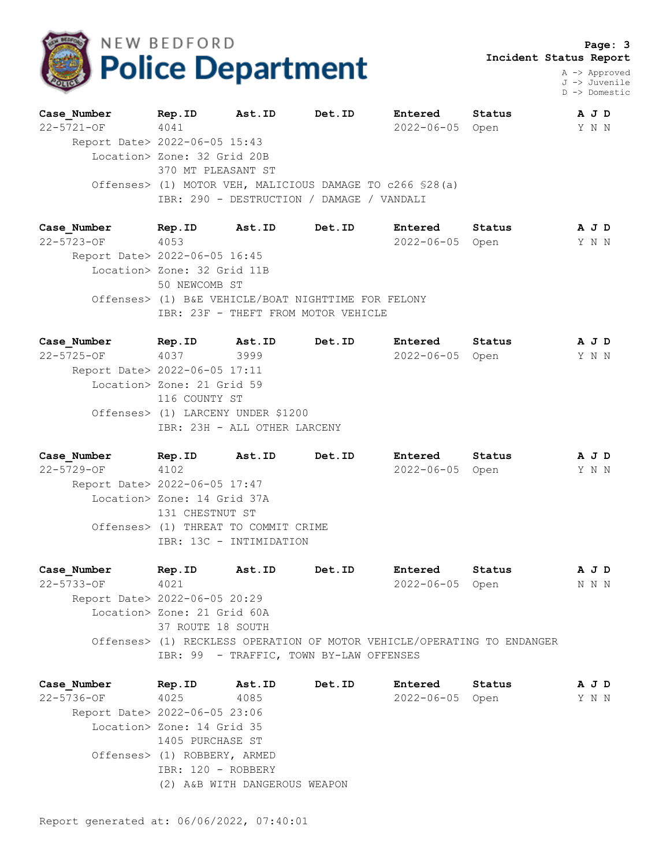

 **Page: 3 Incident Status Report**

> A -> Approved J -> Juvenile D -> Domestic

| Case Number                   | Rep.ID                      | Ast.ID | Det.ID                                                    | Entered         | Status | A J D |  |
|-------------------------------|-----------------------------|--------|-----------------------------------------------------------|-----------------|--------|-------|--|
| $22 - 5721 - OF$              | 4041                        |        |                                                           | 2022-06-05 Open |        | Y N N |  |
| Report Date> 2022-06-05 15:43 |                             |        |                                                           |                 |        |       |  |
|                               | Location> Zone: 32 Grid 20B |        |                                                           |                 |        |       |  |
|                               | 370 MT PLEASANT ST          |        |                                                           |                 |        |       |  |
|                               |                             |        | Offenses> (1) MOTOR VEH, MALICIOUS DAMAGE TO c266 \$28(a) |                 |        |       |  |
|                               |                             |        | IBR: 290 - DESTRUCTION / DAMAGE / VANDALI                 |                 |        |       |  |
|                               |                             |        |                                                           |                 |        |       |  |

**Case\_Number Rep.ID Ast.ID Det.ID Entered Status A J D** 22-5723-OF 4053 2022-06-05 Open Y N N Report Date> 2022-06-05 16:45 Location> Zone: 32 Grid 11B 50 NEWCOMB ST Offenses> (1) B&E VEHICLE/BOAT NIGHTTIME FOR FELONY IBR: 23F - THEFT FROM MOTOR VEHICLE

**Case\_Number Rep.ID Ast.ID Det.ID Entered Status A J D** 22-5725-OF 4037 3999 2022-06-05 Open Y N N Report Date> 2022-06-05 17:11 Location> Zone: 21 Grid 59 116 COUNTY ST Offenses> (1) LARCENY UNDER \$1200 IBR: 23H - ALL OTHER LARCENY

**Case\_Number Rep.ID Ast.ID Det.ID Entered Status A J D** 22-5729-OF 4102 2022-06-05 Open Y N N Report Date> 2022-06-05 17:47 Location> Zone: 14 Grid 37A 131 CHESTNUT ST Offenses> (1) THREAT TO COMMIT CRIME IBR: 13C - INTIMIDATION

**Case\_Number Rep.ID Ast.ID Det.ID Entered Status A J D** 22-5733-OF 4021 2022-06-05 Open N N N Report Date> 2022-06-05 20:29 Location> Zone: 21 Grid 60A 37 ROUTE 18 SOUTH Offenses> (1) RECKLESS OPERATION OF MOTOR VEHICLE/OPERATING TO ENDANGER IBR: 99 - TRAFFIC, TOWN BY-LAW OFFENSES

**Case\_Number Rep.ID Ast.ID Det.ID Entered Status A J D** 22-5736-OF 4025 4085 2022-06-05 Open Y N N Report Date> 2022-06-05 23:06 Location> Zone: 14 Grid 35 1405 PURCHASE ST Offenses> (1) ROBBERY, ARMED IBR: 120 - ROBBERY (2) A&B WITH DANGEROUS WEAPON